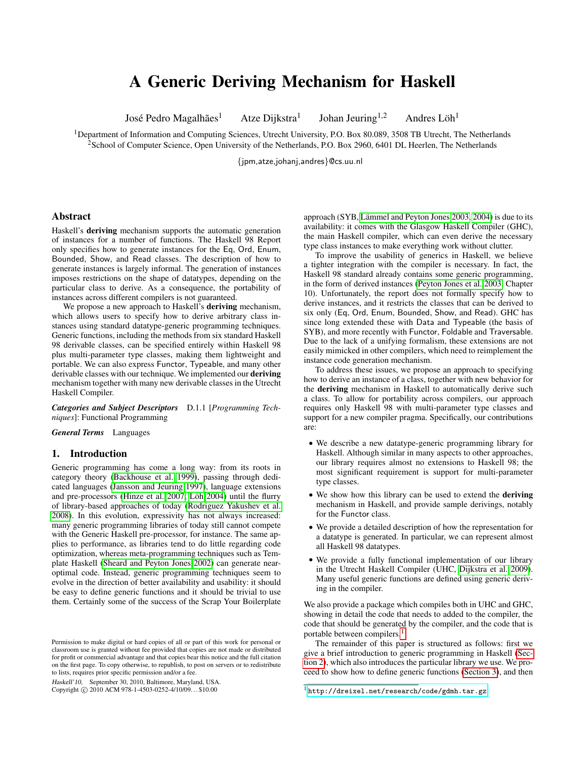# A Generic Deriving Mechanism for Haskell

José Pedro Magalhães<sup>1</sup>

Atze Dijkstra<sup>1</sup>

Johan Jeuring<sup>1,2</sup>

Andres Löh<sup>1</sup>

<sup>1</sup>Department of Information and Computing Sciences, Utrecht University, P.O. Box 80.089, 3508 TB Utrecht, The Netherlands <sup>2</sup>School of Computer Science, Open University of the Netherlands, P.O. Box 2960, 6401 DL Heerlen, The Netherlands

{jpm,atze,johanj,andres}@cs.uu.nl

## Abstract

Haskell's deriving mechanism supports the automatic generation of instances for a number of functions. The Haskell 98 Report only specifies how to generate instances for the Eq, Ord, Enum, Bounded, Show, and Read classes. The description of how to generate instances is largely informal. The generation of instances imposes restrictions on the shape of datatypes, depending on the particular class to derive. As a consequence, the portability of instances across different compilers is not guaranteed.

We propose a new approach to Haskell's **deriving** mechanism, which allows users to specify how to derive arbitrary class instances using standard datatype-generic programming techniques. Generic functions, including the methods from six standard Haskell 98 derivable classes, can be specified entirely within Haskell 98 plus multi-parameter type classes, making them lightweight and portable. We can also express Functor, Typeable, and many other derivable classes with our technique. We implemented our deriving mechanism together with many new derivable classes in the Utrecht Haskell Compiler.

*Categories and Subject Descriptors* D.1.1 [*Programming Techniques*]: Functional Programming

*General Terms* Languages

# 1. Introduction

Generic programming has come a long way: from its roots in category theory [\(Backhouse et al. 1999\)](#page-11-0), passing through dedicated languages [\(Jansson and Jeuring 1997\)](#page-11-1), language extensions and pre-processors [\(Hinze et al. 2007;](#page-11-2) Löh 2004) until the flurry of library-based approaches of today [\(Rodriguez Yakushev et al.](#page-11-4) [2008\)](#page-11-4). In this evolution, expressivity has not always increased: many generic programming libraries of today still cannot compete with the Generic Haskell pre-processor, for instance. The same applies to performance, as libraries tend to do little regarding code optimization, whereas meta-programming techniques such as Template Haskell [\(Sheard and Peyton Jones 2002\)](#page-11-5) can generate nearoptimal code. Instead, generic programming techniques seem to evolve in the direction of better availability and usability: it should be easy to define generic functions and it should be trivial to use them. Certainly some of the success of the Scrap Your Boilerplate

Haskell'10, September 30, 2010, Baltimore, Maryland, USA. Copyright © 2010 ACM 978-1-4503-0252-4/10/09... \$10.00

approach (SYB, Lämmel and Peyton Jones 2003, [2004\)](#page-11-7) is due to its availability: it comes with the Glasgow Haskell Compiler (GHC), the main Haskell compiler, which can even derive the necessary type class instances to make everything work without clutter.

To improve the usability of generics in Haskell, we believe a tighter integration with the compiler is necessary. In fact, the Haskell 98 standard already contains some generic programming, in the form of derived instances [\(Peyton Jones et al. 2003,](#page-11-8) Chapter 10). Unfortunately, the report does not formally specify how to derive instances, and it restricts the classes that can be derived to six only (Eq, Ord, Enum, Bounded, Show, and Read). GHC has since long extended these with Data and Typeable (the basis of SYB), and more recently with Functor, Foldable and Traversable. Due to the lack of a unifying formalism, these extensions are not easily mimicked in other compilers, which need to reimplement the instance code generation mechanism.

To address these issues, we propose an approach to specifying how to derive an instance of a class, together with new behavior for the deriving mechanism in Haskell to automatically derive such a class. To allow for portability across compilers, our approach requires only Haskell 98 with multi-parameter type classes and support for a new compiler pragma. Specifically, our contributions are:

- We describe a new datatype-generic programming library for Haskell. Although similar in many aspects to other approaches, our library requires almost no extensions to Haskell 98; the most significant requirement is support for multi-parameter type classes.
- We show how this library can be used to extend the deriving mechanism in Haskell, and provide sample derivings, notably for the Functor class.
- We provide a detailed description of how the representation for a datatype is generated. In particular, we can represent almost all Haskell 98 datatypes.
- We provide a fully functional implementation of our library in the Utrecht Haskell Compiler (UHC, [Dijkstra et al. 2009\)](#page-11-9). Many useful generic functions are defined using generic deriving in the compiler.

We also provide a package which compiles both in UHC and GHC, showing in detail the code that needs to added to the compiler, the code that should be generated by the compiler, and the code that is portable between compilers.[1](#page-0-0)

The remainder of this paper is structured as follows: first we give a brief introduction to generic programming in Haskell [\(Sec](#page-1-0)[tion 2\)](#page-1-0), which also introduces the particular library we use. We proceed to show how to define generic functions [\(Section 3\)](#page-4-0), and then

Permission to make digital or hard copies of all or part of this work for personal or classroom use is granted without fee provided that copies are not made or distributed for profit or commercial advantage and that copies bear this notice and the full citation on the first page. To copy otherwise, to republish, to post on servers or to redistribute to lists, requires prior specific permission and/or a fee.

<span id="page-0-0"></span><sup>1</sup> <http://dreixel.net/research/code/gdmh.tar.gz>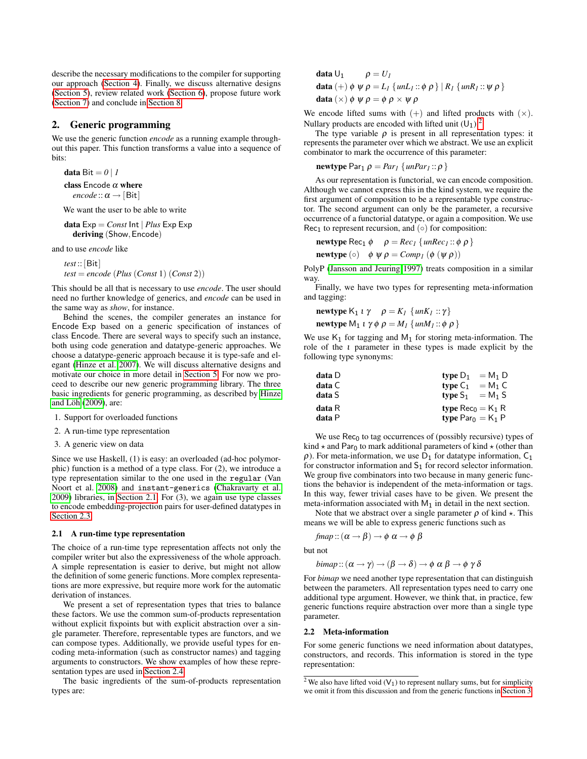describe the necessary modifications to the compiler for supporting our approach [\(Section 4\)](#page-7-0). Finally, we discuss alternative designs [\(Section 5\)](#page-9-0), review related work [\(Section 6\)](#page-10-0), propose future work [\(Section 7\)](#page-10-1) and conclude in [Section 8.](#page-11-10)

# <span id="page-1-0"></span>2. Generic programming

We use the generic function *encode* as a running example throughout this paper. This function transforms a value into a sequence of bits:

data Bit  $= 0 \mid I$ 

class Encode  $\alpha$  where *encode* ::  $\alpha \rightarrow$  [Bit]

We want the user to be able to write

**data** 
$$
Exp = Const
$$
  $\ln t$  | *Plus*  $Exp Exp$   
**deriving** (Show,  $Encode$ )

and to use *encode* like

 $test::[Bit]$  $test = encode (Plus (Const 1) (Const 2))$ 

This should be all that is necessary to use *encode*. The user should need no further knowledge of generics, and *encode* can be used in the same way as *show*, for instance.

Behind the scenes, the compiler generates an instance for Encode Exp based on a generic specification of instances of class Encode. There are several ways to specify such an instance, both using code generation and datatype-generic approaches. We choose a datatype-generic approach because it is type-safe and elegant [\(Hinze et al. 2007\)](#page-11-2). We will discuss alternative designs and motivate our choice in more detail in [Section 5.](#page-9-0) For now we proceed to describe our new generic programming library. The three basic ingredients for generic programming, as described by [Hinze](#page-11-11) and Löh  $(2009)$ , are:

- 1. Support for overloaded functions
- 2. A run-time type representation
- 3. A generic view on data

Since we use Haskell, (1) is easy: an overloaded (ad-hoc polymorphic) function is a method of a type class. For (2), we introduce a type representation similar to the one used in the regular (Van Noort et al. [2008\)](#page-11-12) and instant-generics [\(Chakravarty et al.](#page-11-13) [2009\)](#page-11-13) libraries, in [Section 2.1.](#page-1-1) For (3), we again use type classes to encode embedding-projection pairs for user-defined datatypes in [Section 2.3.](#page-2-0)

## <span id="page-1-1"></span>2.1 A run-time type representation

The choice of a run-time type representation affects not only the compiler writer but also the expressiveness of the whole approach. A simple representation is easier to derive, but might not allow the definition of some generic functions. More complex representations are more expressive, but require more work for the automatic derivation of instances.

We present a set of representation types that tries to balance these factors. We use the common sum-of-products representation without explicit fixpoints but with explicit abstraction over a single parameter. Therefore, representable types are functors, and we can compose types. Additionally, we provide useful types for encoding meta-information (such as constructor names) and tagging arguments to constructors. We show examples of how these representation types are used in [Section 2.4.](#page-2-1)

The basic ingredients of the sum-of-products representation types are:

data  $U_1$   $\rho = U_1$ data  $(+) \phi \psi \rho = L_1 \{ \text{un} L_1 : \phi \rho \} | R_1 \{ \text{un} R_1 : \psi \rho \}$ data  $(\times)$   $\phi \psi \rho = \phi \rho \times \psi \rho$ 

We encode lifted sums with  $(+)$  and lifted products with  $(\times)$ . Nullary products are encoded with lifted unit  $(U_1)$ .<sup>[2](#page-1-2)</sup>

The type variable  $\rho$  is present in all representation types: it represents the parameter over which we abstract. We use an explicit combinator to mark the occurrence of this parameter:

newtype  $Par_1 \rho = Par_1 \{unPar_1 :: \rho \}$ 

As our representation is functorial, we can encode composition. Although we cannot express this in the kind system, we require the first argument of composition to be a representable type constructor. The second argument can only be the parameter, a recursive occurrence of a functorial datatype, or again a composition. We use Rec<sub>1</sub> to represent recursion, and  $(∘)$  for composition:

$$
\text{newtype Rec}_1 \phi \quad \rho = Rec_1 \{ \text{unRec}_1 :: \phi \rho \}
$$

**newtype** ( $\circ$ )  $\phi \psi \rho = Comp_I (\phi (\psi \rho))$ 

PolyP [\(Jansson and Jeuring 1997\)](#page-11-1) treats composition in a similar way.

Finally, we have two types for representing meta-information and tagging:

newtype  $K_1 \iota \gamma \quad \rho = K_I \{ \text{un} K_I : \gamma \}$ newtype  $M_1$  *i*  $\gamma \phi \rho = M_1 \{ \text{un} M_1 : \phi \rho \}$ 

We use  $K_1$  for tagging and  $M_1$  for storing meta-information. The role of the ι parameter in these types is made explicit by the following type synonyms:

| data D | type $D_1 = M_1 D$              |
|--------|---------------------------------|
| data C | $= M_1 C$<br>type $C_1$         |
| data S | type $S_1 = M_1 S$              |
| data R | type Rec <sub>0</sub> = $K_1$ R |
| data P | type $Par_0 = K_1 P$            |

We use  $\text{Rec}_0$  to tag occurrences of (possibly recursive) types of kind  $\star$  and Par<sub>0</sub> to mark additional parameters of kind  $\star$  (other than  $\rho$ ). For meta-information, we use  $D_1$  for datatype information,  $C_1$ for constructor information and  $S_1$  for record selector information. We group five combinators into two because in many generic functions the behavior is independent of the meta-information or tags. In this way, fewer trivial cases have to be given. We present the meta-information associated with  $M_1$  in detail in the next section.

Note that we abstract over a single parameter  $\rho$  of kind  $\star$ . This means we will be able to express generic functions such as

$$
\textit{fmap}::(\alpha \rightarrow \beta) \rightarrow \phi \,\, \alpha \rightarrow \phi \,\, \beta
$$

but not

*bimap* :: 
$$
(\alpha \rightarrow \gamma) \rightarrow (\beta \rightarrow \delta) \rightarrow \phi \alpha \beta \rightarrow \phi \gamma \delta
$$

For *bimap* we need another type representation that can distinguish between the parameters. All representation types need to carry one additional type argument. However, we think that, in practice, few generic functions require abstraction over more than a single type parameter.

#### 2.2 Meta-information

For some generic functions we need information about datatypes, constructors, and records. This information is stored in the type representation:

<span id="page-1-2"></span><sup>&</sup>lt;sup>2</sup> We also have lifted void ( $V_1$ ) to represent nullary sums, but for simplicity we omit it from this discussion and from the generic functions in [Section 3.](#page-4-0)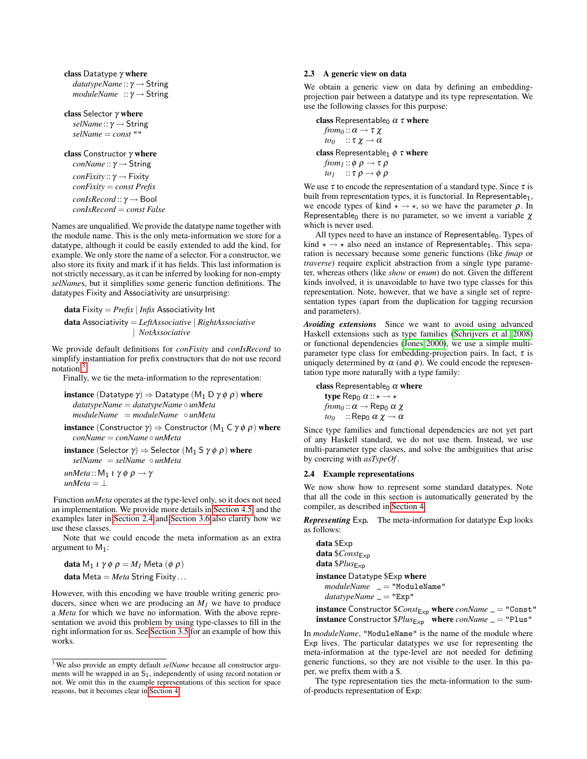```
class Datatype \gamma where
  datatypeName :: γ → String
  moduleName :: γ → String
```
class Selector γ where *selName* :: γ → String *selName* = *const* ""

class Constructor  $\gamma$  where *conName* :: γ → String *conFixity* :: γ → Fixity *conFixity* = *const Prefix conIsRecord* :: γ → Bool *conIsRecord* = *const False*

Names are unqualified. We provide the datatype name together with the module name. This is the only meta-information we store for a datatype, although it could be easily extended to add the kind, for example. We only store the name of a selector. For a constructor, we also store its fixity and mark if it has fields. This last information is not strictly necessary, as it can be inferred by looking for non-empty *selName*s, but it simplifies some generic function definitions. The datatypes Fixity and Associativity are unsurprising:

data Fixity = *Prefix* | *Infix* Associativity Int data Associativity = *LeftAssociative* | *RightAssociative* | *NotAssociative*

We provide default definitions for *conFixity* and *conIsRecord* to simplify instantiation for prefix constructors that do not use record notation.[3](#page-2-2)

Finally, we tie the meta-information to the representation:

**instance** (Datatype  $\gamma$ )  $\Rightarrow$  Datatype (M<sub>1</sub> D  $\gamma \phi \rho$ ) where *datatypeName* = *datatypeName* ◦ *unMeta moduleName* = *moduleName* ◦ *unMeta*

**instance** (Constructor  $\gamma$ )  $\Rightarrow$  Constructor (M<sub>1</sub> C  $\gamma \phi \rho$ ) where *conName* = *conName* ◦ *unMeta*

**instance** (Selector  $\gamma$ )  $\Rightarrow$  Selector (M<sub>1</sub> S  $\gamma \phi$   $\rho$ ) where *selName* = *selName* ◦ *unMeta*

*unMeta* :: M<sub>1</sub>  $\iota \gamma \phi \rho \rightarrow \gamma$  $unMeta = \perp$ 

Function *unMeta* operates at the type-level only, so it does not need an implementation. We provide more details in [Section 4.5,](#page-7-1) and the examples later in [Section 2.4](#page-2-1) and [Section 3.6](#page-6-0) also clarify how we use these classes.

Note that we could encode the meta information as an extra argument to  $M_1$ :

**data** M<sub>1</sub> *ι* γ  $\phi$   $\rho$  = M<sub>*I*</sub> Meta ( $\phi$   $\rho$ ) data Meta = *Meta* String Fixity ...

However, with this encoding we have trouble writing generic producers, since when we are producing an  $M<sub>1</sub>$  we have to produce a *Meta* for which we have no information. With the above representation we avoid this problem by using type-classes to fill in the right information for us. See [Section 3.5](#page-5-0) for an example of how this works.

## <span id="page-2-0"></span>2.3 A generic view on data

We obtain a generic view on data by defining an embeddingprojection pair between a datatype and its type representation. We use the following classes for this purpose:

class Representable<sub>0</sub>  $\alpha \tau$  where *from*<sub>0</sub> ::  $\alpha \rightarrow \tau \chi$ *to*<sup>0</sup> ::  $\tau \chi \rightarrow \alpha$ class Representable<sub>1</sub>  $\phi \tau$  where *from*<sub>1</sub> ::  $\phi \rho \rightarrow \tau \rho$ *to*<sub>1</sub>  $\therefore \tau \rho \rightarrow \phi \rho$ 

We use  $\tau$  to encode the representation of a standard type. Since  $\tau$  is built from representation types, it is functorial. In Representable<sub>1</sub>, we encode types of kind  $\star \rightarrow \star$ , so we have the parameter  $\rho$ . In Representable<sub>0</sub> there is no parameter, so we invent a variable  $\chi$ which is never used.

All types need to have an instance of Representable<sub>0</sub>. Types of kind  $\star \rightarrow \star$  also need an instance of Representable<sub>1</sub>. This separation is necessary because some generic functions (like *fmap* or *traverse*) require explicit abstraction from a single type parameter, whereas others (like *show* or *enum*) do not. Given the different kinds involved, it is unavoidable to have two type classes for this representation. Note, however, that we have a single set of representation types (apart from the duplication for tagging recursion and parameters).

*Avoiding extensions* Since we want to avoid using advanced Haskell extensions such as type families [\(Schrijvers et al. 2008\)](#page-11-14) or functional dependencies [\(Jones 2000\)](#page-11-15), we use a simple multiparameter type class for embedding-projection pairs. In fact,  $\tau$  is uniquely determined by  $\alpha$  (and  $\phi$ ). We could encode the representation type more naturally with a type family:

class Representable<sub>0</sub>  $\alpha$  where

type Rep<sub>0</sub>  $\alpha :: \star \rightarrow \star$  $from_0$ : $\alpha \rightarrow$  Rep<sub>0</sub>  $\alpha \chi$ *to*<sup>0</sup> :: Rep<sub>0</sub>  $\alpha \chi \rightarrow \alpha$ 

Since type families and functional dependencies are not yet part of any Haskell standard, we do not use them. Instead, we use multi-parameter type classes, and solve the ambiguities that arise by coercing with *asTypeOf* .

## <span id="page-2-1"></span>2.4 Example representations

We now show how to represent some standard datatypes. Note that all the code in this section is automatically generated by the compiler, as described in [Section 4.](#page-7-0)

*Representing* Exp*.* The meta-information for datatype Exp looks as follows:

data \$Exp data  $$Const<sub>Exp</sub>$ data \$Plus<sub>Exp</sub> instance Datatype \$Exp where  $moduleName = "ModuleName"$ *datatypeName* = "Exp"

**instance** Constructor  $$Const_{Exp}$  where  $conName = "Const"$ instance Constructor  $$Plus_{Exp}$$  where *conName* = "Plus"

In *moduleName*, "ModuleName" is the name of the module where Exp lives. The particular datatypes we use for representing the meta-information at the type-level are not needed for defining generic functions, so they are not visible to the user. In this paper, we prefix them with a \$.

The type representation ties the meta-information to the sumof-products representation of Exp:

<span id="page-2-2"></span><sup>3</sup> We also provide an empty default *selName* because all constructor arguments will be wrapped in an  $S_1$ , independently of using record notation or not. We omit this in the example representations of this section for space reasons, but it becomes clear in [Section 4.](#page-7-0)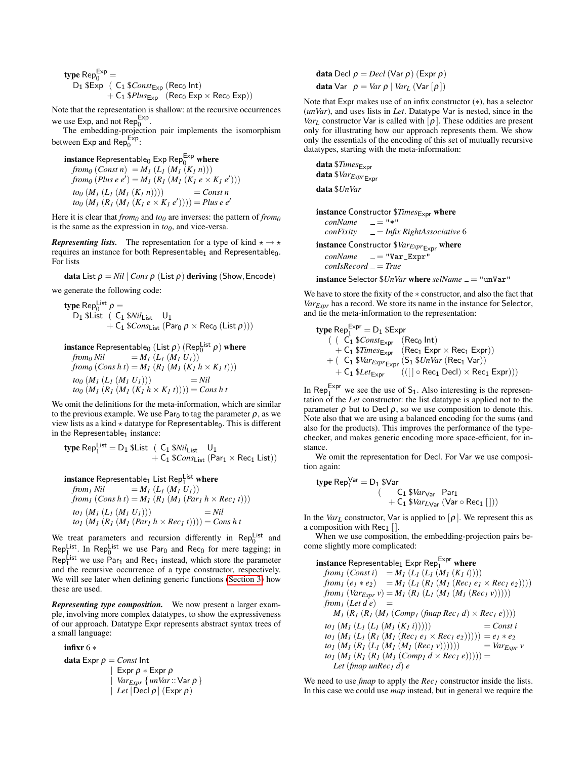type Rep $_0^{\text{Exp}}$  =  $D_1$  \$Exp ( $C_1$  \$ $Const_{Exp}$  (Rec<sub>0</sub> Int)  $+ C_1$  \$*Plus*<sub>Exp</sub> (Rec<sub>0</sub> Exp  $\times$  Rec<sub>0</sub> Exp))

Note that the representation is shallow: at the recursive occurrences we use Exp, and not Rep $_0^{\text{Exp}}$ .

The embedding-projection pair implements the isomorphism between Exp and  $\text{Rep}_{0}^{\text{Exp}}$ :

 $\mathop{\mathsf{instance}}\nolimits$  Representable $_0$  Exp Rep $_0^{\mathsf{Exp}}$  where *from*<sub>0</sub> (*Const n*) =  $M_1$  ( $L_1$  ( $M_1$  ( $K_1$  *n*))) *from*<sub>0</sub>  $(Plus e e') = M_I (R_I (M_I (K_I e \times K_I e')))$  $to_0 (M_1 (L_1 (M_1 (K_1 n))))$  = *Const n*  $\mathcal{H}(b_0)(M_1)(R_1)(K_1e \times K_1e'))$ ) = *Plusee* 

Here it is clear that  $from_0$  and  $to_0$  are inverses: the pattern of  $from_0$ is the same as the expression in  $to<sub>0</sub>$ , and vice-versa.

*Representing lists.* The representation for a type of kind  $\star \rightarrow \star$ requires an instance for both Representable<sub>1</sub> and Representable<sub>0</sub>. For lists

data List  $\rho = Nil | Cons \rho$  (List  $\rho$ ) deriving (Show, Encode)

we generate the following code:

$$
\begin{array}{ll}\n\textbf{type Rep}^{\text{List}}_0 &= \\
\text{D}_1 \ \text{Slist} \ \ (\text{ C}_1 \ \text{SNil}_{\text{List}} \ \ \text{U}_1 \\
 &+ \ \text{C}_1 \ \text{SCons}_{\text{List}} \ \text{(Par}_0 \ \rho \ \times \ \text{Rec}_0 \ \text{(List } \rho))\n\end{array})
$$

**instance** Representable<sub>0</sub> (List 
$$
\rho
$$
) (Rep<sub>0</sub><sup>List</sup>  $\rho$ ) **where**  
from<sub>0</sub> Nil = M<sub>1</sub> (L<sub>1</sub> (M<sub>1</sub> U<sub>1</sub>))  
from<sub>0</sub> (Cons h t) = M<sub>1</sub> (R<sub>1</sub> (M<sub>1</sub> (K<sub>1</sub> h × K<sub>1</sub> t)))  
to<sub>0</sub> (M<sub>1</sub> (L<sub>1</sub> (M<sub>1</sub> U<sub>1</sub>))) = Nil  
to<sub>0</sub> (M<sub>1</sub> (R<sub>1</sub> (M<sub>1</sub> (K<sub>1</sub> h × K<sub>1</sub> t)))) = Cons h t

We omit the definitions for the meta-information, which are similar to the previous example. We use Par<sub>0</sub> to tag the parameter  $\rho$ , as we view lists as a kind  $\star$  datatype for Representable<sub>0</sub>. This is different in the Representable $_1$  instance:

$$
\begin{array}{ll}\textbf{type} \ \textsf{Rep}^{\mathsf{List}}_1 = \textsf{D}_1 \ \textsf{SList} & (\begin{array}{cc} \textsf{C}_1 \ \textsf{S}\mathit{Nil}_\mathsf{List} & \textsf{U}_1 \\ + \textsf{C}_1 \ \textsf{S}\mathit{Cons}_\mathsf{List} \ \textsf{(Par}_1 \times \textsf{Rec}_1 \ \textsf{List}) \end{array}\end{array}
$$

**instance** Representable<sub>1</sub> List Rep<sub>1</sub><sup>list</sup> where  
\n
$$
from1 Nil = M1 (L1 (M1 U1))
$$
\n
$$
from1 (Cons h t) = M1 (R1 (M1 (Par1 h × Rec1 t)))
$$
\n
$$
to1 (M1 (L1 (M1 U1))) = Nil
$$
\n
$$
to1 (M1 (R1 (M1 (Par1 h × Rec1 t)))) = Cons h t
$$

We treat parameters and recursion differently in  $\mathsf{Rep}^{\mathsf{List}}_0$  and Replist. In Replist we use Par<sub>0</sub> and Rec<sub>0</sub> for mere tagging; in  $\text{Rep}_{1}^{\text{List}}$  we use  $\text{Par}_{1}$  and  $\text{Rec}_{1}$  instead, which store the parameter and the recursive occurrence of a type constructor, respectively. We will see later when defining generic functions [\(Section 3\)](#page-4-0) how these are used.

*Representing type composition.* We now present a larger example, involving more complex datatypes, to show the expressiveness of our approach. Datatype Expr represents abstract syntax trees of a small language:

$$
\begin{array}{l}\n\text{infixr 6*} \\
\text{data Expr } \rho = \text{Const} \ln t \\
\mid \text{Expr } \rho * \text{Expr } \rho \\
\mid \text{Var}_{\text{Expr}} \{ \text{unVar} :: \text{Var } \rho \} \\
\mid \text{Let } [\text{Decl } \rho] \, (\text{Expr } \rho)\n\end{array}
$$

**data** Decl  $ρ = Decl$  (Var  $ρ$ ) (Expr  $ρ$ ) **data** Var  $ρ = Varρ | Var<sub>L</sub> (Var [ρ])$ 

Note that Expr makes use of an infix constructor (∗), has a selector (*unVar*), and uses lists in *Let*. Datatype Var is nested, since in the *Var*<sub>*L*</sub> constructor Var is called with  $[\rho]$ . These oddities are present only for illustrating how our approach represents them. We show only the essentials of the encoding of this set of mutually recursive datatypes, starting with the meta-information:

data \$*Times*Expr data \$*VarExpr*Expr data \$*UnVar*

instance Constructor \$Times<sub>Expr</sub> where  $conName \t= "*"$ *conFixity* = *Infix RightAssociative* 6 instance Constructor  $$Var_{Expr \to xpr}$  where *conName* = "Var\_Expr" *conIsRecord* = *True*

instance Selector *\$UnVar* where *selName* = "unVar"

We have to store the fixity of the ∗ constructor, and also the fact that *VarExpr* has a record. We store its name in the instance for Selector, and tie the meta-information to the representation:

$$
\begin{array}{ll}\n\text{type } \mathsf{Rep}^{\mathsf{Expr}}_1 = \mathsf{D}_1 \ \mathsf{SExpr} \\
 & \quad \text{( } \mathsf{C}_1 \ \mathsf{S} \mathit{Const}_\mathsf{Expr} \quad (\mathsf{Rec}_0 \ \mathsf{Int}) \\
 & \quad + \mathsf{C}_1 \ \mathsf{S} \mathit{Times}_\mathsf{Expr} \quad (\mathsf{Rec}_1 \ \mathsf{Expr} \times \mathsf{Rec}_1 \ \mathsf{Expr})) \\
 & \quad + \quad \mathsf{C}_1 \ \mathsf{S} \mathit{Var}_\mathsf{Expr} \mathsf{Expr} \quad (\mathsf{S}_1 \ \mathsf{S} \mathit{UnVar} \ (\mathsf{Rec}_1 \ \mathsf{Var})) \\
 & \quad + \quad \mathsf{C}_1 \ \mathsf{S} \mathit{Let}_\mathsf{Expr} \quad (([] \circ \mathsf{Rec}_1 \ \mathsf{Dec}_1) \times \mathsf{Rec}_1 \ \mathsf{Expr})))\n\end{array}
$$

In Rep<sup>Expr</sup> we see the use of  $S_1$ . Also interesting is the representation of the *Let* constructor: the list datatype is applied not to the parameter  $\rho$  but to Decl  $\rho$ , so we use composition to denote this. Note also that we are using a balanced encoding for the sums (and also for the products). This improves the performance of the typechecker, and makes generic encoding more space-efficient, for instance.

We omit the representation for Decl. For Var we use composition again:

$$
\begin{aligned} \text{type } \mathsf{Rep}^\mathsf{Var}_1 &= D_1 \; \text{$\mathsf{Var}$} \\ &\qquad \qquad \left( \begin{array}{c} \mathsf{C}_1 \; \text{$\mathsf{Var}_\mathsf{Var}$} \quad \mathsf{Par}_1 \\ + \; \mathsf{C}_1 \; \text{$\mathsf{Var}_\mathsf{LVar} \; (\mathsf{Var} \circ \mathsf{Rec}_1 \; [\,]) \end{array} \right) \end{aligned}
$$

In the *Var<sub>L</sub>* constructor, Var is applied to  $[\rho]$ . We represent this as a composition with  $Rec<sub>1</sub>$  [].

When we use composition, the embedding-projection pairs become slightly more complicated:

```
\mathbf instance Representable_1 Expr Rep_1^\mathsf{Expr} where
  from<sub>1</sub> (Const i) = M_1 (L_1 (L_1 (M_1 (K_1 i))))
  from_1(e_1 * e_2) = M_1(L_1(R_1(M_1(Rec_1 e_1 \times Rec_1 e_2))))from<sub>1</sub> (Var<sub>Expr</sub> v) = M<sub>1</sub> (R<sub>1</sub> (L<sub>1</sub> (M<sub>1</sub> (M<sub>1</sub> (Rec<sub>1</sub> v)))))</sub>
  from<sub>1</sub> (Let d e) =
     M_1 (R_1 (R_1 (M_1 (Comp_1 (fmap Rec_1 d) × Rec_1 e))))
  to_I (M_I (L_I (L_I (M_I (K_I i)))) = Const i
  to_I (M_I (L_I (R_I (M_I (Rec_I e_I \times Rec_I e_I)))))) = e_I * e_2to_I (M_I (R_I (L_I (M_I (Rec_I v)))))) = Var_{Expr} vto_I (M_I (R_I (R_I (M_I (Comp_I d \times Rec_I e)))) =Let (fmap unRec1 d) e
```
We need to use *fmap* to apply the *Rec<sup>1</sup>* constructor inside the lists. In this case we could use *map* instead, but in general we require the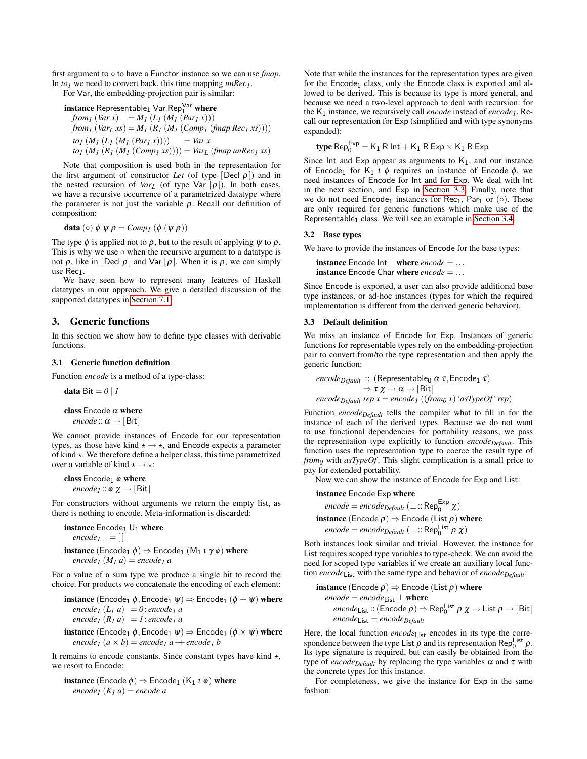first argument to ◦ to have a Functor instance so we can use *fmap*. In *to<sup>1</sup>* we need to convert back, this time mapping *unRec1*. For Var, the embedding-projection pair is similar:

 $\mathbf i$ nstance Representable $_1$  Var Rep $_1^\mathsf{Var}$  where *from*<sub>1</sub> (*Var x*) =  $M_1$  ( $L_1$  ( $M_1$  ( $Par_1$  *x*)))  $from_1 (Var_L xs) = M_1 (R_1 (M_1 (Comp_1 (fmap Rec_1 xs))))$  $to_I (M_I (L_I (M_I (Par_I x))))$  = *Var x*  $to_I (M_I (R_I (M_I (Comp_I x s)))) = Var_L (fmap \, unRec_I x s)$ 

Note that composition is used both in the representation for the first argument of constructor *Let* (of type  $[Decl \rho]$ ) and in the nested recursion of *Var*<sub>*L*</sub> (of type Var  $[\rho]$ ). In both cases, we have a recursive occurrence of a parametrized datatype where the parameter is not just the variable  $\rho$ . Recall our definition of composition:

$$
\mathbf{data}\left(\circ\right)\phi\ \psi\ \rho\ =\mathit{Comp}_{1}\left(\phi\left(\psi\ \rho\right)\right)
$$

The type  $\phi$  is applied not to  $\rho$ , but to the result of applying  $\psi$  to  $\rho$ . This is why we use  $\circ$  when the recursive argument to a datatype is not  $\rho$ , like in [Decl  $\rho$ ] and Var  $[\rho]$ . When it is  $\rho$ , we can simply use Rec<sub>1</sub>.

We have seen how to represent many features of Haskell datatypes in our approach. We give a detailed discussion of the supported datatypes in [Section 7.1.](#page-10-2)

# <span id="page-4-0"></span>3. Generic functions

In this section we show how to define type classes with derivable functions.

## 3.1 Generic function definition

Function *encode* is a method of a type-class:

data Bit  $= 0 \mid I$ 

class Encode  $\alpha$  where *encode* :: $\alpha \rightarrow$  [Bit]

We cannot provide instances of Encode for our representation types, as those have kind  $\star \rightarrow \star$ , and Encode expects a parameter of kind  $\star$ . We therefore define a helper class, this time parametrized over a variable of kind  $\star \rightarrow \star$ :

class  $\text{Encode}_1 \phi$  where *encode*<sub>*1*</sub> ::  $\phi \chi \rightarrow$  [Bit]

For constructors without arguments we return the empty list, as there is nothing to encode. Meta-information is discarded:

instance  $\text{Encode}_1 \cup_1$  where  $encode<sub>1</sub> = []$ **instance** (Encode<sub>1</sub>  $\phi$ )  $\Rightarrow$  Encode<sub>1</sub> (M<sub>1</sub>  $\iota$   $\gamma$  $\phi$ ) where  $encode<sub>I</sub> (M<sub>I</sub> a) = encode<sub>I</sub> a$ 

For a value of a sum type we produce a single bit to record the choice. For products we concatenate the encoding of each element:

**instance** (Encode<sub>1</sub>  $\phi$ , Encode<sub>1</sub>  $\psi$ )  $\Rightarrow$  Encode<sub>1</sub> ( $\phi$  +  $\psi$ ) where  $\mathbf{e} \cdot \mathbf{e} \cdot \mathbf{e} \cdot \mathbf{e} \cdot \mathbf{e} \cdot \mathbf{e} \cdot \mathbf{e} \cdot \mathbf{e} \cdot \mathbf{e} \cdot \mathbf{e} \cdot \mathbf{e} \cdot \mathbf{e} \cdot \mathbf{e} \cdot \mathbf{e} \cdot \mathbf{e} \cdot \mathbf{e} \cdot \mathbf{e} \cdot \mathbf{e} \cdot \mathbf{e} \cdot \mathbf{e} \cdot \mathbf{e} \cdot \mathbf{e} \cdot \mathbf{e} \cdot \mathbf{e} \cdot \mathbf{e} \cdot \mathbf{e} \cdot \mathbf{e} \cdot \mathbf{$  $\mathbf{e} \cdot \mathbf{e} \cdot \mathbf{e} \cdot \mathbf{e} \cdot \mathbf{e} \cdot \mathbf{e} \cdot \mathbf{e} \cdot \mathbf{e} \cdot \mathbf{e} \cdot \mathbf{e} \cdot \mathbf{e} \cdot \mathbf{e} \cdot \mathbf{e} \cdot \mathbf{e} \cdot \mathbf{e} \cdot \mathbf{e} \cdot \mathbf{e} \cdot \mathbf{e} \cdot \mathbf{e} \cdot \mathbf{e} \cdot \mathbf{e} \cdot \mathbf{e} \cdot \mathbf{e} \cdot \mathbf{e} \cdot \mathbf{e} \cdot \mathbf{e} \cdot \mathbf{e} \cdot \mathbf{$ 

**instance** (Encode<sub>1</sub>  $\phi$ , Encode<sub>1</sub>  $\psi$ )  $\Rightarrow$  Encode<sub>1</sub> ( $\phi \times \psi$ ) where  $encode_1 (a \times b) = encode_1 a + encode_1 b$ 

It remains to encode constants. Since constant types have kind  $\star$ , we resort to Encode:

**instance** (Encode  $\phi$ )  $\Rightarrow$  Encode<sub>1</sub> (K<sub>1</sub> *i*  $\phi$ ) where *encode*<sub>*1*</sub>  $(K_1 a)$  = *encode a* 

Note that while the instances for the representation types are given for the  $Encoder<sub>1</sub>$  class, only the Encode class is exported and allowed to be derived. This is because its type is more general, and because we need a two-level approach to deal with recursion: for the K<sup>1</sup> instance, we recursively call *encode* instead of *encode1*. Recall our representation for Exp (simplified and with type synonyms expanded):

$$
type\,\text{Rep}^{\text{Exp}}_0 = \text{K}_1\,\text{R}\,\text{Int} + \text{K}_1\,\text{R}\,\text{Exp} \times \text{K}_1\,\text{R}\,\text{Exp}
$$

Since Int and Exp appear as arguments to  $K_1$ , and our instance of Encode<sub>1</sub> for K<sub>1</sub> *ι*  $\phi$  requires an instance of Encode  $\phi$ , we need instances of Encode for Int and for Exp. We deal with Int in the next section, and Exp in [Section 3.3.](#page-4-1) Finally, note that we do not need  $Encoder_1$  instances for  $Rec_1$ ,  $Par_1$  or ( $\circ$ ). These are only required for generic functions which make use of the Representable<sub>1</sub> class. We will see an example in [Section 3.4.](#page-5-1)

## 3.2 Base types

We have to provide the instances of Encode for the base types:

instance Encode Int where *encode* = ... instance Encode Char where *encode* = ...

Since Encode is exported, a user can also provide additional base type instances, or ad-hoc instances (types for which the required implementation is different from the derived generic behavior).

## <span id="page-4-1"></span>3.3 Default definition

We miss an instance of Encode for Exp. Instances of generic functions for representable types rely on the embedding-projection pair to convert from/to the type representation and then apply the generic function:

$$
\begin{aligned}\n\textit{encode}_{\textit{Default}} :: (\textsf{Representable}_0 \alpha \tau, \textsf{Encode}_1 \tau) \\
&\Rightarrow \tau \chi \rightarrow \alpha \rightarrow [\textsf{Bit}] \\
\textit{encode}_{\textit{Default}} \textit{rep } x = \textit{encode}_1 \ ((\textit{from}_0 \ x) \textit{`asTypeOf} \textit{`rep})\n\end{aligned}
$$

Function *encodeDefault* tells the compiler what to fill in for the instance of each of the derived types. Because we do not want to use functional dependencies for portability reasons, we pass the representation type explicitly to function *encodeDefault*. This function uses the representation type to coerce the result type of *from<sup>0</sup>* with *asTypeOf* . This slight complication is a small price to pay for extended portability.

Now we can show the instance of Encode for Exp and List:

instance Encode Exp where

$$
encode = encodeDefault (⊥::Rep0Exp χ)
$$
  
**instance** (Encode ρ) ⇒ encode (List ρ) **where**  
*encode = encode<sub>Default</sub> (⊥::Rep<sub>0</sub><sup>list</sup> ρ χ)*

Both instances look similar and trivial. However, the instance for List requires scoped type variables to type-check. We can avoid the need for scoped type variables if we create an auxiliary local function *encode*List with the same type and behavior of *encodeDefault*:

**instance** (Encode 
$$
\rho
$$
)  $\Rightarrow$  encode (List  $\rho$ ) where  
*encode* = *encode*<sub>List</sub>  $\perp$  **where**  
*encode* = *encode*<sub>Dist</sub> :: (Encode  $\rho$ )  $\Rightarrow$  Rep<sup>list</sup><sub>0</sub>  $\alpha \rightarrow$  List  $\rho \rightarrow$  [Bit]  
*encode*<sub>List</sub> = *encode*<sub>Default</sub>

Here, the local function  $encode_{List}$  encodes in its type the correspondence between the type List  $\rho$  and its representation Rep<sub>0</sub><sup>List</sup>  $\rho$ . Its type signature is required, but can easily be obtained from the type of *encode*<sub>Default</sub> by replacing the type variables  $\alpha$  and τ with the concrete types for this instance.

For completeness, we give the instance for Exp in the same fashion: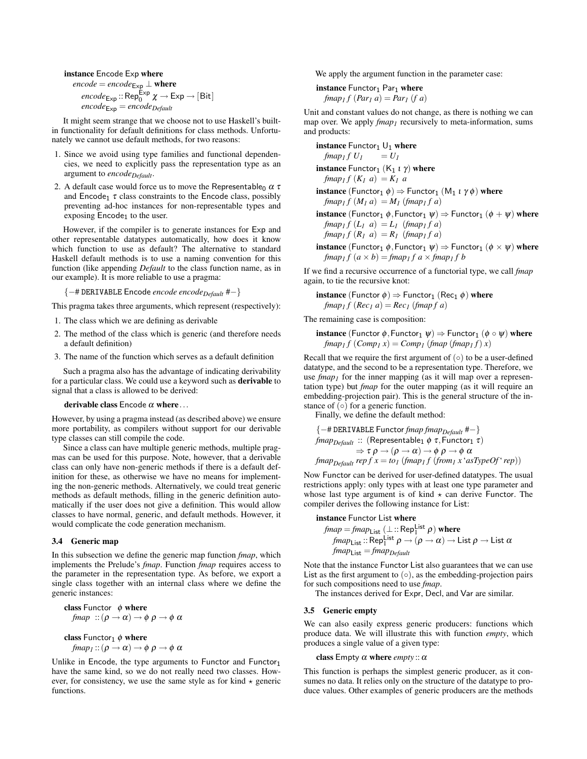instance Encode Exp where

 $\mathit{encode} = encode_{\textsf{Exp}} \perp \textbf{where}$  $\mathit{encode}_{\mathsf{Exp}} \colon \mathsf{Rep}^{\mathsf{Exp}}_0 \ \chi \to \mathsf{Exp} \to [\mathsf{Bit}]$  $encode_{\text{Exp}} = encode_{\text{Default}}$ 

It might seem strange that we choose not to use Haskell's builtin functionality for default definitions for class methods. Unfortunately we cannot use default methods, for two reasons:

- 1. Since we avoid using type families and functional dependencies, we need to explicitly pass the representation type as an argument to *encodeDefault*.
- 2. A default case would force us to move the Representable<sub>0</sub>  $\alpha \tau$ and Encode<sub>1</sub>  $\tau$  class constraints to the Encode class, possibly preventing ad-hoc instances for non-representable types and exposing  $Encode<sub>1</sub>$  to the user.

However, if the compiler is to generate instances for Exp and other representable datatypes automatically, how does it know which function to use as default? The alternative to standard Haskell default methods is to use a naming convention for this function (like appending *Default* to the class function name, as in our example). It is more reliable to use a pragma:

{−# DERIVABLE Encode *encode encodeDefault* #−}

This pragma takes three arguments, which represent (respectively):

- 1. The class which we are defining as derivable
- 2. The method of the class which is generic (and therefore needs a default definition)
- 3. The name of the function which serves as a default definition

Such a pragma also has the advantage of indicating derivability for a particular class. We could use a keyword such as derivable to signal that a class is allowed to be derived:

## derivable class Encode  $\alpha$  where ...

However, by using a pragma instead (as described above) we ensure more portability, as compilers without support for our derivable type classes can still compile the code.

Since a class can have multiple generic methods, multiple pragmas can be used for this purpose. Note, however, that a derivable class can only have non-generic methods if there is a default definition for these, as otherwise we have no means for implementing the non-generic methods. Alternatively, we could treat generic methods as default methods, filling in the generic definition automatically if the user does not give a definition. This would allow classes to have normal, generic, and default methods. However, it would complicate the code generation mechanism.

## <span id="page-5-1"></span>3.4 Generic map

In this subsection we define the generic map function *fmap*, which implements the Prelude's *fmap*. Function *fmap* requires access to the parameter in the representation type. As before, we export a single class together with an internal class where we define the generic instances:

class Functor  $\phi$  where *fmap* :: $(\rho \rightarrow \alpha) \rightarrow \phi \rho \rightarrow \phi \alpha$ 

class Functor<sub>1</sub>  $\phi$  where *fmap*<sub>1</sub> :: ( $\rho \rightarrow \alpha$ )  $\rightarrow \phi \rho \rightarrow \phi \alpha$ 

Unlike in Encode, the type arguments to Functor and Functor<sub>1</sub> have the same kind, so we do not really need two classes. However, for consistency, we use the same style as for kind  $\star$  generic functions.

We apply the argument function in the parameter case:

instance  $Function_1$  Par<sub>1</sub> where *fmap*<sub>1</sub>  $f$   $(Par_1 a) = Par_1 (fa)$ 

Unit and constant values do not change, as there is nothing we can map over. We apply *fmap<sub>1</sub>* recursively to meta-information, sums and products:

instance Functor<sub>1</sub>  $U_1$  where *fmap*<sub>1</sub>*f*  $U_1$  =  $U_1$ instance Functor<sub>1</sub> (K<sub>1</sub>  $\iota$   $\gamma$ ) where *fmap*<sub>1</sub>*f*  $(K_1 \ a) = K_1 \ a$ **instance** (Functor<sub>1</sub>  $\phi$ )  $\Rightarrow$  Functor<sub>1</sub> (M<sub>1</sub> *i*  $\gamma$  $\phi$ ) where  $fmap_1 f(M_1 a) = M_1 (fmap_1 fa)$ **instance** (Functor<sub>1</sub>  $\phi$ , Functor<sub>1</sub>  $\psi$ )  $\Rightarrow$  Functor<sub>1</sub> ( $\phi$  +  $\psi$ ) where *fmap*<sub>1</sub>*f*  $(L_1 \ a) = L_1 \ (fmap_1 f a)$ 

 $fmap_1 f(R_1 a) = R_1 (fmap_1 fa)$ 

**instance** (Functor<sub>1</sub>  $\phi$ , Functor<sub>1</sub>  $\psi$ )  $\Rightarrow$  Functor<sub>1</sub> ( $\phi \times \psi$ ) where  $fmap_1 f(a \times b) = fmap_1 f(a \times fmap_1 f(b))$ 

If we find a recursive occurrence of a functorial type, we call *fmap* again, to tie the recursive knot:

**instance** (Functor  $\phi$ )  $\Rightarrow$  Functor<sub>1</sub> (Rec<sub>1</sub>  $\phi$ ) where  $fmap_1 f (Rec_1 a) = Rec_1 (fmap f a)$ 

The remaining case is composition:

**instance** (Functor  $\phi$ , Functor<sub>1</sub>  $\psi$ )  $\Rightarrow$  Functor<sub>1</sub> ( $\phi \circ \psi$ ) where  $fmap_1 f (Comp_1 x) = Comp_1 (fmap (fmap_1 f) x)$ 

Recall that we require the first argument of  $(○)$  to be a user-defined datatype, and the second to be a representation type. Therefore, we use  $\lim_{t \to \infty}$  for the inner mapping (as it will map over a representation type) but *fmap* for the outer mapping (as it will require an embedding-projection pair). This is the general structure of the instance of  $\overline{(\circ)}$  for a generic function.

Finally, we define the default method:

$$
\{-\# DERIVABLE Function map map begin  $\#-\}$   
*fmap begin* :: (Representable<sub>1</sub>  $\phi \tau$ , *Function*<sub>1</sub>  $\tau$ )  
 $\Rightarrow \tau \rho \rightarrow (\rho \rightarrow \alpha) \rightarrow \phi \rho \rightarrow \phi \alpha$   
*fmap begin rep end rep f*  $x = to_1$  (*fmap f f* (*from g 'asTypeOf 'rep*))
$$

Now Functor can be derived for user-defined datatypes. The usual restrictions apply: only types with at least one type parameter and whose last type argument is of kind  $\star$  can derive Functor. The compiler derives the following instance for List:

instance Functor List where

$$
fmap = \frac{fmap_{List}(\perp::Rep_{I}^{List} \rho) \text{ where}}{\frac{fmap_{List}::Rep_{I}^{List} \rho \to (\rho \to \alpha) \to List \rho \to List \alpha}} \frac{fmap_{List} \to \text{Rep}_{I}^{List}}{\frac{fmap_{List} \to \text{Rep}_{I}^{flat}}{\frac{fmap_{List} \to \text{Rep}_{I}^{flat}}{\frac{fmap_{List} \to \text{Rep}_{I}^{flat}}{\frac{fmap_{List} \to \text{Rep}_{I}^{flat}}{\frac{fmap_{List} \to \text{Rep}_{I}^{flat}}{\frac{fmap_{List} \to \text{Rep}_{I}^{flat}}{\frac{fmap_{List} \to \text{Rep}_{I}^{flat}}{\frac{fmap_{List} \to \text{Rep}_{I}^{flat}}{\frac{fmap_{List} \to \text{Rep}_{I}^{flat}}{\frac{fmap_{List} \to \text{Rep}_{I}^{flat}}{\frac{fmap_{List} \to \text{Rep}_{I}^{flat}}{\frac{fmap_{List} \to \text{Rep}_{I}^{flat}}{\frac{fmap_{List} \to \text{Rep}_{I}^{flat}}{\frac{fmap_{List} \to \text{Rep}_{I}^{flat}}{\frac{fmap_{List} \to \text{Rep}_{I}^{flat}}{\frac{fmap_{List} \to \text{Rep}_{I}^{flat}}{\frac{fmap_{List} \to \text{Rep}_{I}^{flat}}{\frac{fmap_{List} \to \text{Rep}_{I}^{flat}}{\frac{fmap_{List} \to \text{Rep}_{I}^{flat}}{\frac{fmap_{List} \to \text{Rep}_{I}^{flat}}{\frac{fmap_{List} \to \text{Rep}_{I}^{flat}}{\frac{fmap_{List} \to \text{Rep}_{I}^{flat}}{\frac{fmap_{List} \to \text{Rep}_{I}^{flat}}{\frac{fmap_{List} \to \text{Rep}_{I}^{flat}}{\frac{fmap_{List} \to \text{Rep}_{I}^{flat}}{\frac{fmap_{List} \to \text{Rep}_{I}^{flat}}{\frac{fmap_{List} \to \text{Rep}_{I}^{flat}}{\frac{fmap_{List} \to \text{Rep}_{I}^{flat}}{\frac{fmap_{List} \to \text{Rep}_{I}^{flat}}{\frac{fmap_{List} \to \text{Rep}_{I}^{flat}}{\frac{fmap_{List} \to \text{Rep}_{I}^{flat}}{\frac{fmap_{List} \to \text{Rep}_{I}^{flat}}{\frac{fmap_{List} \to \text{Rep}_{I}^{flat}}{\frac{fmap_{List} \to \
$$

Note that the instance Functor List also guarantees that we can use List as the first argument to  $( \circ )$ , as the embedding-projection pairs for such compositions need to use *fmap*.

The instances derived for Expr, Decl, and Var are similar.

## <span id="page-5-0"></span>3.5 Generic empty

We can also easily express generic producers: functions which produce data. We will illustrate this with function *empty*, which produces a single value of a given type:

class Empty  $\alpha$  where *empty* ::  $\alpha$ 

This function is perhaps the simplest generic producer, as it consumes no data. It relies only on the structure of the datatype to produce values. Other examples of generic producers are the methods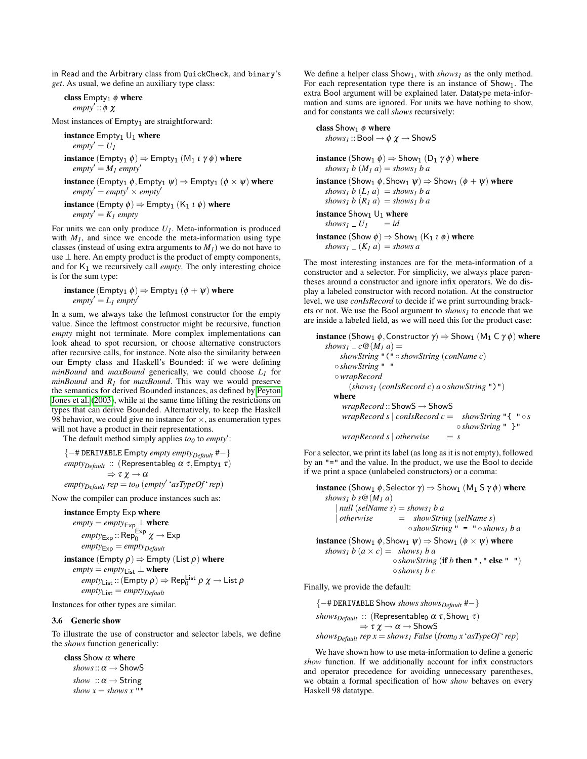in Read and the Arbitrary class from QuickCheck, and binary's *get*. As usual, we define an auxiliary type class:

class  $Empty_1$   $\phi$  where *empty'* :: φ χ

Most instances of Empty<sub>1</sub> are straightforward:

instance  $Empty_1 \cup_1$  where  $empty' = U_1$ instance  $(\text{Empty}_1 \phi) \Rightarrow \text{Empty}_1 (M_1 \iota \gamma \phi)$  where  $empty' = M_1$  *empty*<sup> $\prime$ </sup> **instance** (Empty<sub>1</sub>  $\phi$ , Empty<sub>1</sub>  $\psi$ )  $\Rightarrow$  Empty<sub>1</sub> ( $\phi \times \psi$ ) where  $\textit{empty}' = \textit{empty}' \times \textit{empty}'$ **instance** (Empty  $\phi$ )  $\Rightarrow$  Empty<sub>1</sub> (K<sub>1</sub> *i*  $\phi$ ) where  $\textit{empty}' = K_1 \textit{empty}$ 

For units we can only produce  $U_I$ . Meta-information is produced with  $M<sub>1</sub>$ , and since we encode the meta-information using type classes (instead of using extra arguments to  $M<sub>1</sub>$ ) we do not have to use ⊥ here. An empty product is the product of empty components, and for  $K_1$  we recursively call *empty*. The only interesting choice is for the sum type:

**instance** (Empty<sub>1</sub>  $\phi$ )  $\Rightarrow$  Empty<sub>1</sub> ( $\phi$  +  $\psi$ ) where  $empty' = L_1$  *empty*<sup> $\prime$ </sup>

In a sum, we always take the leftmost constructor for the empty value. Since the leftmost constructor might be recursive, function *empty* might not terminate. More complex implementations can look ahead to spot recursion, or choose alternative constructors after recursive calls, for instance. Note also the similarity between our Empty class and Haskell's Bounded: if we were defining *minBound* and *maxBound* generically, we could choose *L<sup>1</sup>* for *minBound* and *R<sup>1</sup>* for *maxBound*. This way we would preserve the semantics for derived Bounded instances, as defined by [Peyton](#page-11-8) [Jones et al.](#page-11-8) [\(2003\)](#page-11-8), while at the same time lifting the restrictions on types that can derive Bounded. Alternatively, to keep the Haskell 98 behavior, we could give no instance for  $\times$ , as enumeration types will not have a product in their representations.

The default method simply applies  $to_0$  to *empty*':

{−# DERIVABLE Empty *empty emptyDefault* #−}  $empty_{\text{Default}}$  :: (Representable<sub>0</sub> α τ, Empty<sub>1</sub> τ)  $\Rightarrow \tau \chi \rightarrow \alpha$  $\mathit{empty}_{\text{Default}}$   $\mathit{rep} = \mathit{to}_0$  ( $\mathit{empty}' \cdot \mathit{asTypeOf} \cdot \mathit{rep}$ )

Now the compiler can produce instances such as:

instance Empty Exp where

$$
empty = empty_{Exp} \perp \text{where}
$$
  
\n
$$
empty_{Exp} :: Rep^{Exp} \chi \rightarrow Exp
$$
  
\n
$$
empty_{Exp} = empty_{default}
$$
  
\n**instance** (Empty  $\rho$ )  $\Rightarrow$  Empty (List  $\rho$ ) where  
\n
$$
empty = empty_{List} \perp \text{where}
$$
  
\n
$$
empty_{List} :: (Empty  $\rho$ )  $\Rightarrow$  Rep<sup>list</sup><sub>0</sub>  $\rho \chi \rightarrow$  List  $\rho$   
\n
$$
empty_{List} :: (Empty  $\rho$ )  $\Rightarrow$  Rep<sup>list</sup><sub>0</sub>  $\rho \chi \rightarrow$  List  $\rho$
$$
$$

Instances for other types are similar.

## <span id="page-6-0"></span>3.6 Generic show

To illustrate the use of constructor and selector labels, we define the *shows* function generically:

class Show  $\alpha$  where  $shows::\alpha \rightarrow$  ShowS  $show :: \alpha \rightarrow String$ *show*  $x =$  *shows*  $x$  ""

We define a helper class Show<sub>1</sub>, with *shows<sub>1</sub>* as the only method. For each representation type there is an instance of  $Show<sub>1</sub>$ . The extra Bool argument will be explained later. Datatype meta-information and sums are ignored. For units we have nothing to show, and for constants we call *shows* recursively:

class  $Show_1 \phi$  where  $shows_1$ :: Bool  $\rightarrow \phi \chi \rightarrow$  ShowS

**instance** (Show<sub>1</sub>  $\phi$ )  $\Rightarrow$  Show<sub>1</sub> (D<sub>1</sub>  $\gamma$   $\phi$ ) where *shows*<sup> $1$ </sup> *b* ( $M_1$  *a*) = *shows*<sup> $1$ </sup> *b a* 

**instance** (Show<sub>1</sub>  $\phi$ , Show<sub>1</sub>  $\psi$ )  $\Rightarrow$  Show<sub>1</sub> ( $\phi$  +  $\psi$ ) where *shows*<sup>*I*</sup> *b* ( $L$ <sup>*I*</sup> *a*) = *shows*<sup>*I*</sup> *b a shows*<sup>*I*</sup> *b*  $(R_1 a) =$ *shows*<sup>*I*</sup> *b a* **instance** Show<sub>1</sub>  $U_1$  where<br>shows<sub>1</sub> \_  $U_1$  = id  $shows_1 = U_1$ **instance** (Show  $\phi$ )  $\Rightarrow$  Show<sub>1</sub> (K<sub>1</sub> *i*  $\phi$ ) where

 $\int$ *shows*<sup> $I$ </sup> =  $(K_I a)$  = *shows* a

The most interesting instances are for the meta-information of a constructor and a selector. For simplicity, we always place parentheses around a constructor and ignore infix operators. We do display a labeled constructor with record notation. At the constructor level, we use *conIsRecord* to decide if we print surrounding brackets or not. We use the Bool argument to *shows<sup>1</sup>* to encode that we are inside a labeled field, as we will need this for the product case:

```
instance (Show<sub>1</sub> \phi, Constructor \gamma) \Rightarrow Show<sub>1</sub> (M<sub>1</sub> C \gamma \phi) where
  shows<sub>1</sub> = c@(M<sub>1</sub> a) =showString "(" ◦ showString (conName c)
      ◦ showString " "
      ◦wrapRecord
           (shows<sub>1</sub> (conIsRecord c) a \circ showString")")
     where
        wrapRecord :: ShowS → ShowS
        wrapRecord s | conIsRecord c = showString "{ \degree \degree \degree◦ showString " }"
        wrapRecord s | otherwise = s
```
For a selector, we print its label (as long as it is not empty), followed by an "=" and the value. In the product, we use the Bool to decide if we print a space (unlabeled constructors) or a comma:

**instance** (Show<sub>1</sub>  $\phi$ , Selector  $\gamma$ )  $\Rightarrow$  Show<sub>1</sub> (M<sub>1</sub> S  $\gamma$   $\phi$ ) where *shows*<sup>1</sup> *b*  $s@$   $(M_1 a)$  $|null$  (*selName s*) = *shows*<sup>1</sup> *b a* | *otherwise* = *showString* (*selName s*)  $\circ$ *showString* " = " $\circ$ *shows<sub>1</sub> b a* **instance** (Show<sub>1</sub>  $\phi$ , Show<sub>1</sub>  $\psi$ )  $\Rightarrow$  Show<sub>1</sub> ( $\phi \times \psi$ ) where *shows<sub>1</sub>*  $b(a \times c) =$  *shows<sub>1</sub>*  $b a$ ◦ *showString* (if *b* then "," else " ") ◦ *shows<sup>1</sup> b c*

Finally, we provide the default:

{−# DERIVABLE Show *shows showsDefault* #−}  $\mathit{shows}_{\mathit{Default}}$  :: (Representable<sub>0</sub>  $\alpha$  τ, Show<sub>1</sub> τ)  $\Rightarrow \tau \chi \rightarrow \alpha \rightarrow$  ShowS *shows*<sub>Default</sub>  $rep x = shows_1 False (from_0 x 'asTypeOf' rep)$ 

We have shown how to use meta-information to define a generic *show* function. If we additionally account for infix constructors and operator precedence for avoiding unnecessary parentheses, we obtain a formal specification of how *show* behaves on every Haskell 98 datatype.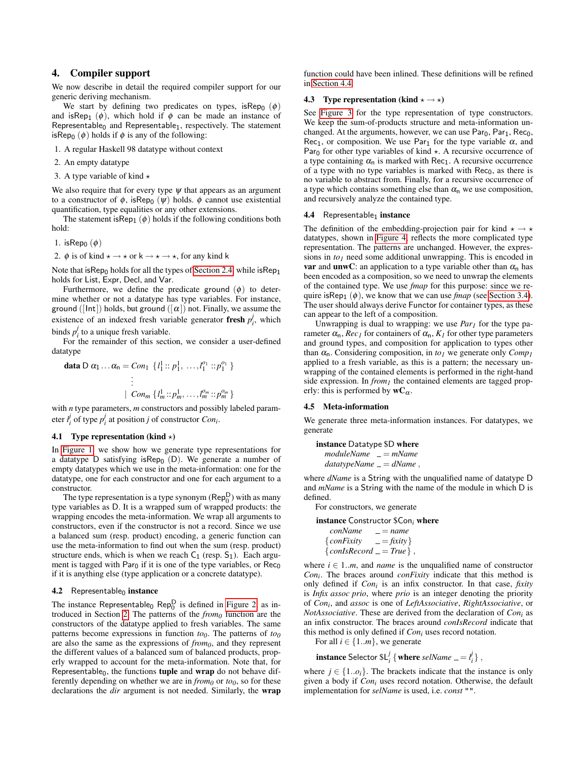# <span id="page-7-0"></span>4. Compiler support

We now describe in detail the required compiler support for our generic deriving mechanism.

We start by defining two predicates on types, isRep<sub>0</sub>  $(\phi)$ and isRep<sub>1</sub> ( $\phi$ ), which hold if  $\phi$  can be made an instance of Representable<sub>0</sub> and Representable<sub>1</sub>, respectively. The statement isRep<sub>0</sub>  $(\phi)$  holds if  $\phi$  is any of the following:

1. A regular Haskell 98 datatype without context

2. An empty datatype

3. A type variable of kind  $\star$ 

We also require that for every type  $\psi$  that appears as an argument to a constructor of  $\phi$ , isRep<sub>0</sub> ( $\psi$ ) holds.  $\phi$  cannot use existential quantification, type equalities or any other extensions.

The statement is Rep<sub>1</sub>  $(\phi)$  holds if the following conditions both hold:

1. isRep $_0$   $(\phi)$ 

2.  $\phi$  is of kind  $\star \rightarrow \star$  or  $k \rightarrow \star \rightarrow \star$ , for any kind k

Note that is  $\text{Rep}_0$  holds for all the types of [Section 2.4,](#page-2-1) while is  $\text{Rep}_1$ holds for List, Expr, Decl, and Var.

Furthermore, we define the predicate ground  $(\phi)$  to determine whether or not a datatype has type variables. For instance, ground ([Int]) holds, but ground ([ $\alpha$ ]) not. Finally, we assume the existence of an indexed fresh variable generator **fresh**  $p_i^j$ , which binds  $p_i^j$  to a unique fresh variable.

For the remainder of this section, we consider a user-defined datatype

data D 
$$
\alpha_1 ... \alpha_n = Con_1 \{l_1^1 :: p_1^1, ..., l_1^{\alpha_1} :: p_1^{\alpha_1}\}
$$
  
\n
$$
\vdots
$$
\n
$$
\{ Con_m \{l_m^1 :: p_m^1, ..., l_m^{\alpha_m} :: p_m^{\alpha_m}\}
$$

with *n* type parameters, *m* constructors and possibly labeled parameter  $l_i^j$  of type  $p_i^j$  at position *j* of constructor *Con<sub>i</sub>*.

## 4.1 Type representation (kind  $\star$ )

In [Figure 1,](#page-8-0) we show how we generate type representations for a datatype D satisfying isRep<sub>0</sub> (D). We generate a number of empty datatypes which we use in the meta-information: one for the datatype, one for each constructor and one for each argument to a constructor.

The type representation is a type synonym  $(\text{Rep}_0^D)$  with as many type variables as D. It is a wrapped sum of wrapped products: the wrapping encodes the meta-information. We wrap all arguments to constructors, even if the constructor is not a record. Since we use a balanced sum (resp. product) encoding, a generic function can use the meta-information to find out when the sum (resp. product) structure ends, which is when we reach  $C_1$  (resp.  $S_1$ ). Each argument is tagged with  $Par_0$  if it is one of the type variables, or  $Rec_0$ if it is anything else (type application or a concrete datatype).

#### 4.2 Representable<sub>0</sub> instance

The instance Representable<sub>0</sub> Rep<sup>D</sup> is defined in [Figure 2,](#page-8-1) as introduced in Section [2.](#page-1-0) The patterns of the *from<sup>0</sup>* function are the constructors of the datatype applied to fresh variables. The same patterns become expressions in function  $to<sub>0</sub>$ . The patterns of  $to<sub>0</sub>$ are also the same as the expressions of *from0*, and they represent the different values of a balanced sum of balanced products, properly wrapped to account for the meta-information. Note that, for Representable $_0$ , the functions **tuple** and **wrap** do not behave differently depending on whether we are in  $from<sub>0</sub>$  or  $to<sub>0</sub>$ , so for these declarations the *dir* argument is not needed. Similarly, the wrap

function could have been inlined. These definitions will be refined in [Section 4.4.](#page-7-2)

## 4.3 Type representation (kind  $\star \rightarrow \star$ )

See [Figure 3](#page-8-2) for the type representation of type constructors. We keep the sum-of-products structure and meta-information unchanged. At the arguments, however, we can use  $Par_0$ ,  $Par_1$ ,  $Rec_0$ , Rec<sub>1</sub>, or composition. We use Par<sub>1</sub> for the type variable  $\alpha$ , and Par<sub>0</sub> for other type variables of kind  $\star$ . A recursive occurrence of a type containing  $\alpha_n$  is marked with Rec<sub>1</sub>. A recursive occurrence of a type with no type variables is marked with  $Rec_0$ , as there is no variable to abstract from. Finally, for a recursive occurrence of a type which contains something else than  $\alpha_n$  we use composition, and recursively analyze the contained type.

## <span id="page-7-2"></span>4.4 Representable<sub>1</sub> instance

The definition of the embedding-projection pair for kind  $\star \rightarrow \star$ datatypes, shown in [Figure 4,](#page-8-3) reflects the more complicated type representation. The patterns are unchanged. However, the expressions in *to<sup>1</sup>* need some additional unwrapping. This is encoded in var and unwC: an application to a type variable other than  $\alpha_n$  has been encoded as a composition, so we need to unwrap the elements of the contained type. We use *fmap* for this purpose: since we require isRep<sub>1</sub>  $(\phi)$ , we know that we can use *fmap* (see [Section 3.4\)](#page-5-1). The user should always derive Functor for container types, as these can appear to the left of a composition.

Unwrapping is dual to wrapping: we use *Par<sup>1</sup>* for the type parameter  $\alpha_n$ , *Rec<sub>1</sub>* for containers of  $\alpha_n$ ,  $K_l$  for other type parameters and ground types, and composition for application to types other than  $\alpha_n$ . Considering composition, in  $\omega_l$  we generate only  $Comp_l$ applied to a fresh variable, as this is a pattern; the necessary unwrapping of the contained elements is performed in the right-hand side expression. In *from<sup>1</sup>* the contained elements are tagged properly: this is performed by  $wC_\alpha$ .

#### <span id="page-7-1"></span>4.5 Meta-information

We generate three meta-information instances. For datatypes, we generate

instance Datatype \$D where *moduleName* = *mName datatypeName* = *dName* ,

where *dName* is a String with the unqualified name of datatype D and *mName* is a String with the name of the module in which D is defined.

For constructors, we generate

instance Constructor \$Con*<sup>i</sup>* where

| conName                    | $= name$     |
|----------------------------|--------------|
| $\{$ conFixity             | $=$ fixity } |
| $\{conIsRecord = True\}$ , |              |

where  $i \in 1..m$ , and *name* is the unqualified name of constructor *Con<sup>i</sup>* . The braces around *conFixity* indicate that this method is only defined if *Con<sup>i</sup>* is an infix constructor. In that case, *fixity* is *Infix assoc prio*, where *prio* is an integer denoting the priority of *Con<sup>i</sup>* , and *assoc* is one of *LeftAssociative*, *RightAssociative*, or *NotAssociative*. These are derived from the declaration of *Con<sup>i</sup>* as an infix constructor. The braces around *conIsRecord* indicate that this method is only defined if *Con<sup>i</sup>* uses record notation.

For all  $i \in \{1..m\}$ , we generate

 $\textbf{instance} \text{ selector } \$L_i^j \ \{\textbf{where} \ \textit{selName} \ \textcolor{red}{\underline{--}} = l_i^j \} \ ,$ 

where  $j \in \{1..o_i\}$ . The brackets indicate that the instance is only given a body if *Con<sup>i</sup>* uses record notation. Otherwise, the default implementation for *selName* is used, i.e. *const* "".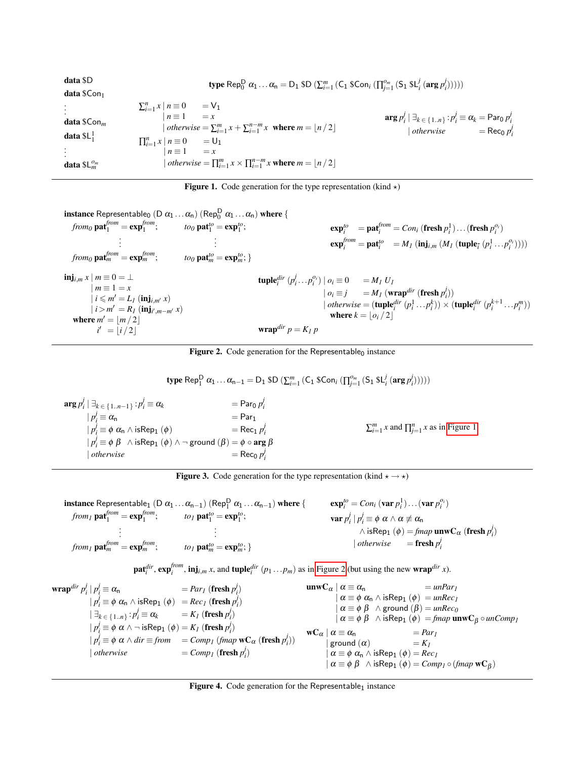| data \$D                                                 | <b>type</b> Rep <sub>0</sub> <sup>D</sup> $\alpha_1 \dots \alpha_n = D_1$ \$D $(\sum_{i=1}^m (C_1 \& Con_i \left( \prod_{i=1}^{o_m} (S_1 \& L_i^j \left( \arg p_i^j \right) \right)))$                                                                                                                                             |                                                                                                                                |
|----------------------------------------------------------|------------------------------------------------------------------------------------------------------------------------------------------------------------------------------------------------------------------------------------------------------------------------------------------------------------------------------------|--------------------------------------------------------------------------------------------------------------------------------|
| <b>data</b> $$Con_1$                                     |                                                                                                                                                                                                                                                                                                                                    |                                                                                                                                |
| <b>data</b> $$Conm$<br>data $L_1^1$<br>data $SL_m^{o_m}$ | $\sum_{i=1}^n x \mid n \equiv 0 \qquad = \nabla_1$<br>$n \equiv 1$ = x<br>  otherwise = $\sum_{i=1}^{m} x + \sum_{i=1}^{n-m} x$ where $m =  n/2 $<br>$\prod_{i=1}^{n} x \mid n \equiv 0$ = U <sub>1</sub><br>$n \equiv 1$ = x<br><i>otherwise</i> = $\prod_{i=1}^{m} x \times \prod_{i=1}^{n-m} x$ where $m = \lfloor n/2 \rfloor$ | $\arg p'_i \mid \exists_{k \in \{1n\}} : p'_i \equiv \alpha_k = \text{Par}_0 p'_i$<br>  otherwise $=$ Rec <sub>0</sub> $p_i^j$ |

<span id="page-8-0"></span>Figure 1. Code generation for the type representation (kind  $\star$ )

**instance** Representable<sub>0</sub>  $(D \alpha_1 ... \alpha_n)$   $(\text{Rep}_0^D \alpha_1 ... \alpha_n)$  where {

$$
from_0 \mathbf{pa}^{from}_{1} = \mathbf{exp}_{1}^{from}; \t to_0 \mathbf{pa}^{to}_{1} = \mathbf{exp}_{1}^{to}; \t to_1 \mathbf{pa}^{to}_{1}; \t to_2 \mathbf{pa}^{to}_{1} = \mathbf{exp}_{m}^{to}; \t to_3 \mathbf{pa}^{to}_{1} = \mathbf{exp}_{m}^{to}; \t to_4 \mathbf{pa}^{to}_{1} = \mathbf{exp}_{m}^{from}
$$
\n
$$
\begin{aligned}\n\mathbf{imj}_{i,m} x \mid m &\equiv 0 = \perp \\
m &\equiv 1 = x \\
i < m' = L_1 (\mathbf{inj}_{i,m'} x) \\
i > m' = R_1 (\mathbf{inj}_{i,m'} x) \\
i < m' = L_1 (\mathbf{inj}_{i,m'} x) \\
i < m' = \lfloor n/2 \rfloor\n\end{aligned}\n\qquad\n\begin{aligned}\n\mathbf{imj}_{i,m} & = \mathbf{exp}_{m}^{to}; \\
\mathbf{imj}_{i,m} & = \mathbf{exp}_{m}^{to}; \\
\mathbf{imj}_{i,m} & = \mathbf{exp}_{m}^{to}; \\
\mathbf{imj}_{i,m} & = \mathbf{exp}_{m}^{to}; \\
\mathbf{imj}_{i,m} & = \mathbf{exp}_{m}^{to}; \\
\mathbf{imj}_{i,m} & = \mathbf{exp}_{m}^{to}; \\
\mathbf{imj}_{i,m} & = \mathbf{exp}_{m}^{to}; \\
\mathbf{imj}_{i,m} & = \mathbf{exp}_{m}^{to}; \\
\mathbf{imj}_{i,m} & = \mathbf{exp}_{m}^{to}; \\
\mathbf{imj}_{i,m} & = \mathbf{exp}_{m}^{to}; \\
\mathbf{imj}_{i,m} & = \mathbf{exp}_{m}^{to}; \\
\mathbf{imj}_{i,m} & = \mathbf{exp}_{m}^{to}; \\
\mathbf{imj}_{i,m} & = \mathbf{exp}_{m}^{to}; \\
\mathbf{imj}_{i,m} & = \mathbf{exp}_{m}^{to}; \\
\mathbf{imj}_{i,m} & = \mathbf{exp}_{m}^{to}; \\
\mathbf{imj}_{i,m} & = \mathbf{exp}_{m}^{to}; \\
\mathbf{imj}_{i,m} & = \mathbf{exp}_{m}^{to}; \\
\mathbf{imj}_{i,m} & =
$$

<span id="page-8-1"></span>Figure 2. Code generation for the Representable<sub>0</sub> instance

 $\textbf{type Rep}_1^{\textbf{D}} \; \alpha_1 \ldots \alpha_{n-1} = \text{D}_1 \; \textbf{\$D} \; (\sum_{i=1}^m \left( \textsf{C}_1 \; \textbf{\$Con}_{i} \; (\prod_{j=1}^{o_m} \; (\textsf{S}_1 \; \textbf{\$L}_i^j \; (\textbf{arg} \, p_i^j)))\right))$ 

 $\arg p_i^j \mid \exists_k \in \{1..n-1\} : p_i^j$  $\alpha_i^j \equiv \alpha_k$  = Par<sub>0</sub>  $p_i^j$  $| p_i^j \equiv \alpha_n$  = Par<sub>1</sub>  $| p_i^j \equiv \phi \alpha_n \wedge \text{isRep}_1 (\phi) = \text{Rec}_1 p$ *j i*  $| p^j_i \equiv \phi \; \beta \; \; \wedge \, \mathrm{isRep}_1 \; (\phi) \wedge \neg \; \mathrm{ground} \; (\beta) = \phi \circ \mathrm{\textbf{arg}} \; \beta$  $|$  *otherwise j i*  $\sum_{i=1}^{m} x$  and  $\prod_{j=1}^{n} x$  as in [Figure 1.](#page-8-0)

<span id="page-8-2"></span>Figure 3. Code generation for the type representation (kind  $\star \rightarrow \star$ )

$$
\begin{array}{ll}\n\text{instance Representable}_1 \ (\text{D } \alpha_1 \ldots \alpha_{n-1}) \ (\text{Rep}_1^D \ \alpha_1 \ldots \alpha_{n-1}) \ \text{where} \ \{\text{exp}_i^{fo} = \text{Con}_i \ (\text{var } p_i^1) \ldots (\text{var } p_i^{o_i}) \\
\text{from}_1 \ \text{pat}_1^{from} = \text{exp}_1^{from}; & \text{to}_1 \ \text{pat}_1^{fo} = \text{exp}_1^{fo}; & \text{var } p_i^i \ | \ p_i^i \equiv \phi \ \alpha \wedge \alpha \not\equiv \alpha_n \\
\vdots & \vdots & \ddots & \vdots \\
\text{from}_1 \ \text{pat}_m^{from} = \text{exp}_m^{from}; & \text{to}_1 \ \text{pat}_m^{fo} = \text{exp}_m^{fo}; & \text{otherwise}\n\end{array}
$$

$$
\textbf{pat}_i^{dir}, \textbf{exp}_i^{from}, \textbf{inj}_{i,m} x
$$
, and  $\textbf{tuple}_i^{dir}(p_1...p_m)$  as in Figure 2 (but using the new **wrap**<sup>dir</sup> x).

$$
\begin{array}{ll}\n\textbf{wrap}^{dir} \ p_i^j \mid p_i^j \equiv \alpha_n & = \text{Par}_1 \text{ (fresh } p_i^j) & \textbf{unw} \ C_{\alpha} \mid \alpha \equiv \alpha_n & = \text{unPar}_1 \\
|p_i^j \equiv \phi \ \alpha_n \land \text{isRep}_1 (\phi) & = \text{Rec}_1 \text{ ( fresh } p_i^j) & \alpha \equiv \phi \ \alpha_n \land \text{isRep}_1 (\phi) & = \text{unRec}_1 \\
|\exists_{k \in \{1..n\}} : p_i^j \equiv \alpha_k & = K_1 \text{ ( fresh } p_i^j) & \alpha \equiv \phi \ \beta \land \text{ground } (\beta) = \text{unRec}_0 \\
|p_i^j \equiv \phi \ \alpha \land \neg \text{isRep}_1 (\phi) = K_1 \text{ ( fresh } p_i^j) & \textbf{w} \ C_{\alpha} \mid \alpha \equiv \phi \ \beta \land \text{isRep}_1 (\phi) = \text{fmap } \textbf{unw} \ C_{\beta} \circ \text{unComp}_1 \\
|p_i^j \equiv \phi \ \alpha \land \text{dir} \equiv \text{from } \text{comp}_1 \text{ (frame } \textbf{w} \ C_{\alpha} \text{ ( fresh } p_i^j) & \textbf{w} \ C_{\alpha} \mid \alpha \equiv \alpha_n & = \text{Par}_1 \\
| \text{ground } (\alpha) & = K_1 \\
| \text{othenwise} & = \text{Comp}_1 \text{ ( fresh } p_i^j) & \alpha \equiv \phi \ \alpha \land \text{isRep}_1 (\phi) = \text{Rec}_1 \\
| \alpha \equiv \phi \ \alpha \land \text{isRep}_1 (\phi) = \text{Rec}_1 \\
| \alpha \equiv \phi \ \alpha \land \text{isRep}_1 (\phi) = \text{Re}_1 \\
| \alpha \equiv \phi \ \alpha \land \text{isRep}_1 (\phi) = \text{Rem}_1 \circ (\text{fmap } \textbf{w} \ C_{\beta}) & \text{where } \alpha \equiv \text{Gr}_1 \ \alpha \equiv \phi \ \alpha \land \text{isRep}_1 (\phi) = \text{Comp}_1 \circ (\text{fmap } \textbf{w} \ C_{\beta}) & \text{where } \alpha \equiv \text{Gr}_1 \ \alpha \equiv \text{Gr}_1 \ \alpha \equiv \text{Per}_2 \ \alpha \equiv \text{Per}_1 \ \alpha \equiv \text{Per}_2 \ \alpha \equiv \text{Per}_1 \ \alpha \equiv \text{Per}_2 \
$$

<span id="page-8-3"></span>Figure 4. Code generation for the Representable<sub>1</sub> instance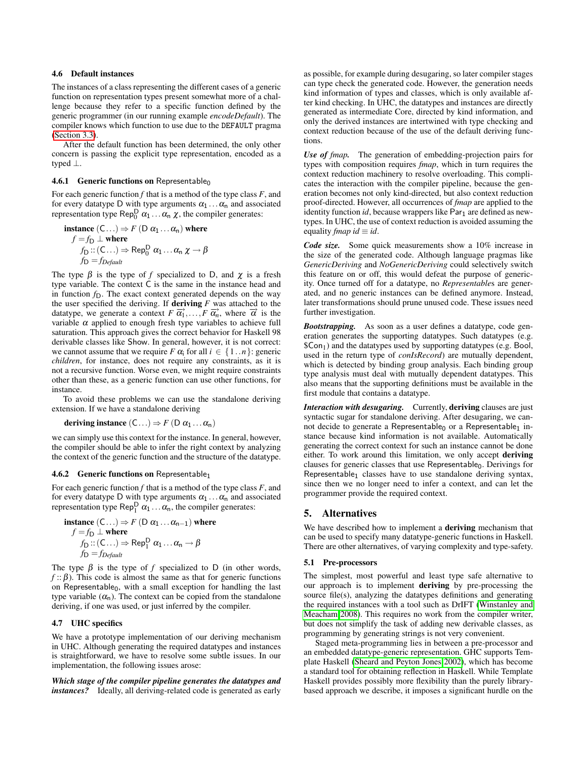# 4.6 Default instances

The instances of a class representing the different cases of a generic function on representation types present somewhat more of a challenge because they refer to a specific function defined by the generic programmer (in our running example *encodeDefault*). The compiler knows which function to use due to the DEFAULT pragma [\(Section 3.3\)](#page-4-1).

After the default function has been determined, the only other concern is passing the explicit type representation, encoded as a typed ⊥.

#### 4.6.1 Generic functions on Representable<sub>0</sub>

For each generic function *f* that is a method of the type class *F*, and for every datatype D with type arguments  $\alpha_1 \dots \alpha_n$  and associated representation type Rep $_0^D$   $\alpha_1 \dots \alpha_n$   $\chi$ , the compiler generates:

**instance** 
$$
(C...)
$$
  $\Rightarrow$   $F$   $(D \alpha_1 ... \alpha_n)$  where  
\n $f = f_D \perp$  where  
\n $f_D :: (C...)$   $\Rightarrow$   $\text{Rep}_0^D \alpha_1 ... \alpha_n \chi \rightarrow \beta$   
\n $f_D = f_{\text{Default}}$ 

The type  $\beta$  is the type of *f* specialized to D, and  $\chi$  is a fresh type variable. The context C is the same in the instance head and in function  $f<sub>D</sub>$ . The exact context generated depends on the way the user specified the deriving. If **deriving**  $F$  was attached to the datatype, we generate a context *F*  $\overrightarrow{\alpha_1},...$ , *F*  $\overrightarrow{\alpha_n}$ , where  $\overrightarrow{\alpha}$  is the variable  $\alpha$  applied to enough fresh type variables to achieve full saturation. This approach gives the correct behavior for Haskell 98 derivable classes like Show. In general, however, it is not correct: we cannot assume that we require *F*  $\alpha_i$  for all  $i \in \{1..n\}$ : generic *children*, for instance, does not require any constraints, as it is not a recursive function. Worse even, we might require constraints other than these, as a generic function can use other functions, for instance.

To avoid these problems we can use the standalone deriving extension. If we have a standalone deriving

deriving instance  $(C...)\Rightarrow F(D\alpha_1...\alpha_n)$ 

we can simply use this context for the instance. In general, however, the compiler should be able to infer the right context by analyzing the context of the generic function and the structure of the datatype.

#### **4.6.2 Generic functions on Representable**<sub>1</sub>

For each generic function *f* that is a method of the type class *F*, and for every datatype D with type arguments  $\alpha_1 \dots \alpha_n$  and associated representation type Rep $_1^D$   $\alpha_1 \dots \alpha_n$ , the compiler generates:

$$
\begin{aligned}\n\text{instance } (C \ldots) &\Rightarrow F \text{ (D } \alpha_1 \ldots \alpha_{n-1} \text{)} \text{ where} \\
f &= f_D \perp \text{ where} \\
f_D :: (C \ldots) &\Rightarrow \text{Rep}_1^D \alpha_1 \ldots \alpha_n \to \beta \\
f_D &= f_{\text{Default}}\n\end{aligned}
$$

The type  $\beta$  is the type of *f* specialized to D (in other words,  $f$ :  $\beta$ ). This code is almost the same as that for generic functions on Representable $_0$ , with a small exception for handling the last type variable  $(\alpha_n)$ . The context can be copied from the standalone deriving, if one was used, or just inferred by the compiler.

## 4.7 UHC specifics

We have a prototype implementation of our deriving mechanism in UHC. Although generating the required datatypes and instances is straightforward, we have to resolve some subtle issues. In our implementation, the following issues arose:

*Which stage of the compiler pipeline generates the datatypes and instances?* Ideally, all deriving-related code is generated as early

as possible, for example during desugaring, so later compiler stages can type check the generated code. However, the generation needs kind information of types and classes, which is only available after kind checking. In UHC, the datatypes and instances are directly generated as intermediate Core, directed by kind information, and only the derived instances are intertwined with type checking and context reduction because of the use of the default deriving functions.

*Use of fmap.* The generation of embedding-projection pairs for types with composition requires *fmap*, which in turn requires the context reduction machinery to resolve overloading. This complicates the interaction with the compiler pipeline, because the generation becomes not only kind-directed, but also context reduction proof-directed. However, all occurrences of *fmap* are applied to the identity function *id*, because wrappers like Par<sub>1</sub> are defined as newtypes. In UHC, the use of context reduction is avoided assuming the equality *fmap id*  $\equiv$  *id*.

*Code size.* Some quick measurements show a 10% increase in the size of the generated code. Although language pragmas like *GenericDeriving* and *NoGenericDeriving* could selectively switch this feature on or off, this would defeat the purpose of genericity. Once turned off for a datatype, no *Representable*s are generated, and no generic instances can be defined anymore. Instead, later transformations should prune unused code. These issues need further investigation.

*Bootstrapping.* As soon as a user defines a datatype, code generation generates the supporting datatypes. Such datatypes (e.g.  $$Con<sub>1</sub>$ ) and the datatypes used by supporting datatypes (e.g. Bool, used in the return type of *conIsRecord*) are mutually dependent, which is detected by binding group analysis. Each binding group type analysis must deal with mutually dependent datatypes. This also means that the supporting definitions must be available in the first module that contains a datatype.

*Interaction with desugaring.* Currently, deriving clauses are just syntactic sugar for standalone deriving. After desugaring, we cannot decide to generate a Representable<sub>0</sub> or a Representable<sub>1</sub> instance because kind information is not available. Automatically generating the correct context for such an instance cannot be done either. To work around this limitation, we only accept deriving clauses for generic classes that use Representable<sub>0</sub>. Derivings for Representable<sub>1</sub> classes have to use standalone deriving syntax, since then we no longer need to infer a context, and can let the programmer provide the required context.

## <span id="page-9-0"></span>5. Alternatives

We have described how to implement a **deriving** mechanism that can be used to specify many datatype-generic functions in Haskell. There are other alternatives, of varying complexity and type-safety.

#### 5.1 Pre-processors

The simplest, most powerful and least type safe alternative to our approach is to implement deriving by pre-processing the source file(s), analyzing the datatypes definitions and generating the required instances with a tool such as DrIFT [\(Winstanley and](#page-11-16) [Meacham 2008\)](#page-11-16). This requires no work from the compiler writer, but does not simplify the task of adding new derivable classes, as programming by generating strings is not very convenient.

Staged meta-programming lies in between a pre-processor and an embedded datatype-generic representation. GHC supports Template Haskell [\(Sheard and Peyton Jones 2002\)](#page-11-5), which has become a standard tool for obtaining reflection in Haskell. While Template Haskell provides possibly more flexibility than the purely librarybased approach we describe, it imposes a significant hurdle on the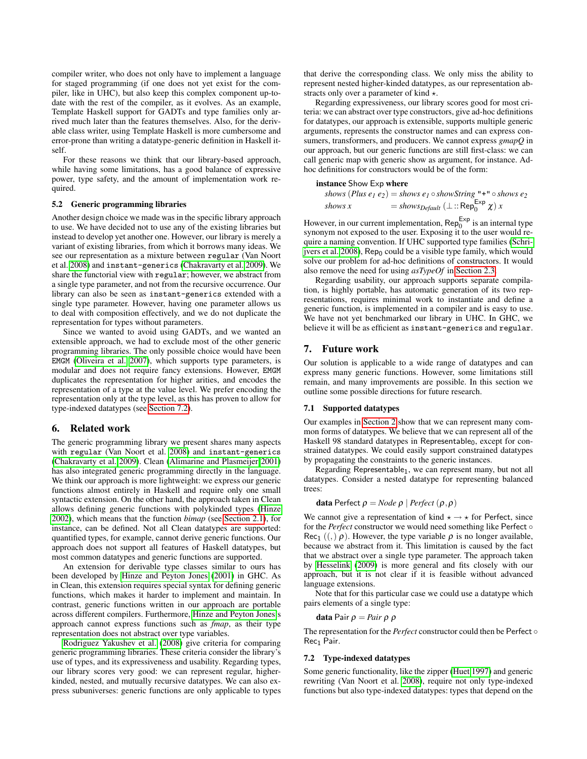compiler writer, who does not only have to implement a language for staged programming (if one does not yet exist for the compiler, like in UHC), but also keep this complex component up-todate with the rest of the compiler, as it evolves. As an example, Template Haskell support for GADTs and type families only arrived much later than the features themselves. Also, for the derivable class writer, using Template Haskell is more cumbersome and error-prone than writing a datatype-generic definition in Haskell itself.

For these reasons we think that our library-based approach, while having some limitations, has a good balance of expressive power, type safety, and the amount of implementation work required.

## 5.2 Generic programming libraries

Another design choice we made was in the specific library approach to use. We have decided not to use any of the existing libraries but instead to develop yet another one. However, our library is merely a variant of existing libraries, from which it borrows many ideas. We see our representation as a mixture between regular (Van Noort et al. [2008\)](#page-11-12) and instant-generics [\(Chakravarty et al. 2009\)](#page-11-13). We share the functorial view with regular; however, we abstract from a single type parameter, and not from the recursive occurrence. Our library can also be seen as instant-generics extended with a single type parameter. However, having one parameter allows us to deal with composition effectively, and we do not duplicate the representation for types without parameters.

Since we wanted to avoid using GADTs, and we wanted an extensible approach, we had to exclude most of the other generic programming libraries. The only possible choice would have been EMGM [\(Oliveira et al. 2007\)](#page-11-17), which supports type parameters, is modular and does not require fancy extensions. However, EMGM duplicates the representation for higher arities, and encodes the representation of a type at the value level. We prefer encoding the representation only at the type level, as this has proven to allow for type-indexed datatypes (see [Section 7.2\)](#page-10-3).

## <span id="page-10-0"></span>6. Related work

The generic programming library we present shares many aspects with regular (Van Noort et al. [2008\)](#page-11-12) and instant-generics [\(Chakravarty et al. 2009\)](#page-11-13). Clean [\(Alimarine and Plasmeijer 2001\)](#page-11-18) has also integrated generic programming directly in the language. We think our approach is more lightweight: we express our generic functions almost entirely in Haskell and require only one small syntactic extension. On the other hand, the approach taken in Clean allows defining generic functions with polykinded types [\(Hinze](#page-11-19) [2002\)](#page-11-19), which means that the function *bimap* (see [Section 2.1\)](#page-1-1), for instance, can be defined. Not all Clean datatypes are supported: quantified types, for example, cannot derive generic functions. Our approach does not support all features of Haskell datatypes, but most common datatypes and generic functions are supported.

An extension for derivable type classes similar to ours has been developed by [Hinze and Peyton Jones](#page-11-20) [\(2001\)](#page-11-20) in GHC. As in Clean, this extension requires special syntax for defining generic functions, which makes it harder to implement and maintain. In contrast, generic functions written in our approach are portable across different compilers. Furthermore, [Hinze and Peyton Jones'](#page-11-20)s approach cannot express functions such as *fmap*, as their type representation does not abstract over type variables.

[Rodriguez Yakushev et al.](#page-11-4) [\(2008\)](#page-11-4) give criteria for comparing generic programming libraries. These criteria consider the library's use of types, and its expressiveness and usability. Regarding types, our library scores very good: we can represent regular, higherkinded, nested, and mutually recursive datatypes. We can also express subuniverses: generic functions are only applicable to types

that derive the corresponding class. We only miss the ability to represent nested higher-kinded datatypes, as our representation abstracts only over a parameter of kind  $\star$ .

Regarding expressiveness, our library scores good for most criteria: we can abstract over type constructors, give ad-hoc definitions for datatypes, our approach is extensible, supports multiple generic arguments, represents the constructor names and can express consumers, transformers, and producers. We cannot express *gmapQ* in our approach, but our generic functions are still first-class: we can call generic map with generic show as argument, for instance. Adhoc definitions for constructors would be of the form:

# instance Show Exp where

```
shows (Plus e_1 e_2) = shows e_1 \circshowString "+" \circ shows e_2shows x = shows Default (\perp :: Rep<sub>0</sub><sup>Exp</sup> \chi) x
```
However, in our current implementation,  $\text{Rep}_{0}^{\text{Exp}}$  is an internal type synonym not exposed to the user. Exposing it to the user would require a naming convention. If UHC supported type families [\(Schri](#page-11-14)[jvers et al. 2008\)](#page-11-14), Rep<sub>0</sub> could be a visible type family, which would solve our problem for ad-hoc definitions of constructors. It would also remove the need for using *asTypeOf* in [Section 2.3.](#page-2-0)

Regarding usability, our approach supports separate compilation, is highly portable, has automatic generation of its two representations, requires minimal work to instantiate and define a generic function, is implemented in a compiler and is easy to use. We have not yet benchmarked our library in UHC. In GHC, we believe it will be as efficient as instant-generics and regular.

## <span id="page-10-1"></span>7. Future work

Our solution is applicable to a wide range of datatypes and can express many generic functions. However, some limitations still remain, and many improvements are possible. In this section we outline some possible directions for future research.

#### <span id="page-10-2"></span>7.1 Supported datatypes

Our examples in [Section 2](#page-1-0) show that we can represent many common forms of datatypes. We believe that we can represent all of the Haskell 98 standard datatypes in Representable<sub>0</sub>, except for constrained datatypes. We could easily support constrained datatypes by propagating the constraints to the generic instances.

Regarding Representable<sub>1</sub>, we can represent many, but not all datatypes. Consider a nested datatype for representing balanced trees:

**data** Perfect 
$$
\rho = Node \rho \mid Perfect (\rho, \rho)
$$

We cannot give a representation of kind  $\star \rightarrow \star$  for Perfect, since for the *Perfect* constructor we would need something like Perfect ◦ Rec<sub>1</sub> ((,)  $\rho$ ). However, the type variable  $\rho$  is no longer available, because we abstract from it. This limitation is caused by the fact that we abstract over a single type parameter. The approach taken by [Hesselink](#page-11-21) [\(2009\)](#page-11-21) is more general and fits closely with our approach, but it is not clear if it is feasible without advanced language extensions.

Note that for this particular case we could use a datatype which pairs elements of a single type:

$$
\textbf{data Pair }\rho = \textit{Pair }\rho \text{ }\rho
$$

The representation for the *Perfect* constructor could then be Perfect ◦ Rec<sub>1</sub> Pair.

## <span id="page-10-3"></span>7.2 Type-indexed datatypes

Some generic functionality, like the zipper [\(Huet 1997\)](#page-11-22) and generic rewriting (Van Noort et al. [2008\)](#page-11-12), require not only type-indexed functions but also type-indexed datatypes: types that depend on the